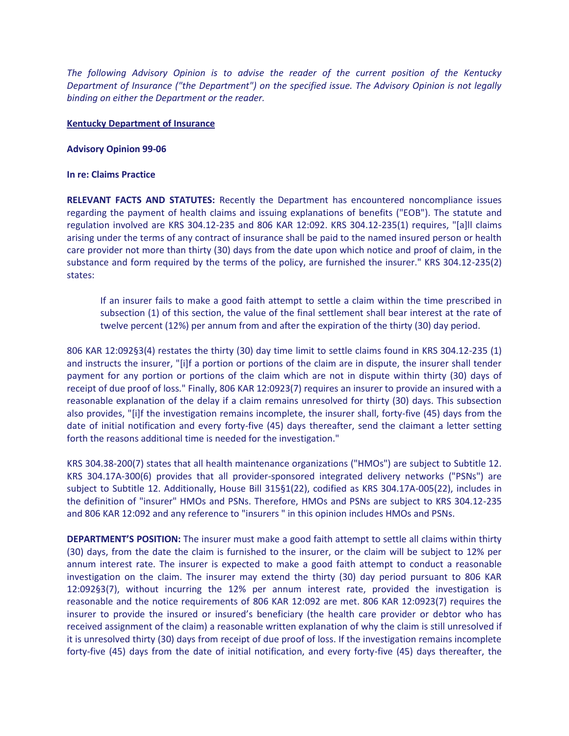*The following Advisory Opinion is to advise the reader of the current position of the Kentucky Department of Insurance ("the Department") on the specified issue. The Advisory Opinion is not legally binding on either the Department or the reader.*

## **Kentucky Department of Insurance**

## **Advisory Opinion 99-06**

## **In re: Claims Practice**

**RELEVANT FACTS AND STATUTES:** Recently the Department has encountered noncompliance issues regarding the payment of health claims and issuing explanations of benefits ("EOB"). The statute and regulation involved are KRS 304.12-235 and 806 KAR 12:092. KRS 304.12-235(1) requires, "[a]ll claims arising under the terms of any contract of insurance shall be paid to the named insured person or health care provider not more than thirty (30) days from the date upon which notice and proof of claim, in the substance and form required by the terms of the policy, are furnished the insurer." KRS 304.12-235(2) states:

If an insurer fails to make a good faith attempt to settle a claim within the time prescribed in subsection (1) of this section, the value of the final settlement shall bear interest at the rate of twelve percent (12%) per annum from and after the expiration of the thirty (30) day period.

806 KAR 12:092§3(4) restates the thirty (30) day time limit to settle claims found in KRS 304.12-235 (1) and instructs the insurer, "[i]f a portion or portions of the claim are in dispute, the insurer shall tender payment for any portion or portions of the claim which are not in dispute within thirty (30) days of receipt of due proof of loss." Finally, 806 KAR 12:0923(7) requires an insurer to provide an insured with a reasonable explanation of the delay if a claim remains unresolved for thirty (30) days. This subsection also provides, "[i]f the investigation remains incomplete, the insurer shall, forty-five (45) days from the date of initial notification and every forty-five (45) days thereafter, send the claimant a letter setting forth the reasons additional time is needed for the investigation."

KRS 304.38-200(7) states that all health maintenance organizations ("HMOs") are subject to Subtitle 12. KRS 304.17A-300(6) provides that all provider-sponsored integrated delivery networks ("PSNs") are subject to Subtitle 12. Additionally, House Bill 315§1(22), codified as KRS 304.17A-005(22), includes in the definition of "insurer" HMOs and PSNs. Therefore, HMOs and PSNs are subject to KRS 304.12-235 and 806 KAR 12:092 and any reference to "insurers " in this opinion includes HMOs and PSNs.

**DEPARTMENT'S POSITION:** The insurer must make a good faith attempt to settle all claims within thirty (30) days, from the date the claim is furnished to the insurer, or the claim will be subject to 12% per annum interest rate. The insurer is expected to make a good faith attempt to conduct a reasonable investigation on the claim. The insurer may extend the thirty (30) day period pursuant to 806 KAR 12:092§3(7), without incurring the 12% per annum interest rate, provided the investigation is reasonable and the notice requirements of 806 KAR 12:092 are met. 806 KAR 12:0923(7) requires the insurer to provide the insured or insured's beneficiary (the health care provider or debtor who has received assignment of the claim) a reasonable written explanation of why the claim is still unresolved if it is unresolved thirty (30) days from receipt of due proof of loss. If the investigation remains incomplete forty-five (45) days from the date of initial notification, and every forty-five (45) days thereafter, the